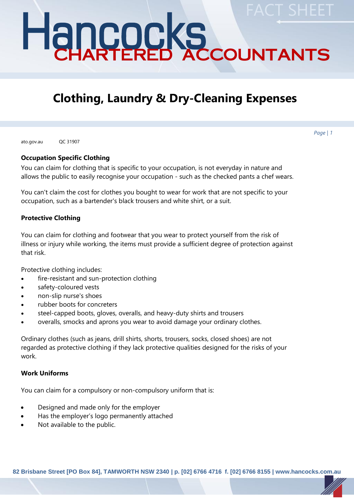# Hancocks CHARTERED ACCOUNTANTS **FACT SHEET**

# **Clothing, Laundry & Dry-Cleaning Expenses**

ato.gov.au QC 31907

## **Occupation Specific Clothing**

You can claim for clothing that is specific to your occupation, is not everyday in nature and allows the public to easily recognise your occupation - such as the checked pants a chef wears.

You can't claim the cost for clothes you bought to wear for work that are not specific to your occupation, such as a bartender's black trousers and white shirt, or a suit.

# **Protective Clothing**

You can claim for clothing and footwear that you wear to protect yourself from the risk of illness or injury while working, the items must provide a sufficient degree of protection against that risk.

Protective clothing includes:

- fire-resistant and sun-protection clothing
- safety-coloured vests
- non-slip nurse's shoes
- rubber boots for concreters
- steel-capped boots, gloves, overalls, and heavy-duty shirts and trousers
- overalls, smocks and aprons you wear to avoid damage your ordinary clothes.

Ordinary clothes (such as jeans, drill shirts, shorts, trousers, socks, closed shoes) are not regarded as protective clothing if they lack protective qualities designed for the risks of your work.

#### **Work Uniforms**

You can claim for a compulsory or non-compulsory uniform that is:

- Designed and made only for the employer
- Has the employer's logo permanently attached
- Not available to the public.

**82 Brisbane Street [PO Box 84], TAMWORTH NSW 2340 | p. [02] 6766 4716 f. [02] 6766 8155 | www.hancocks.com.au**

*Page | 1*